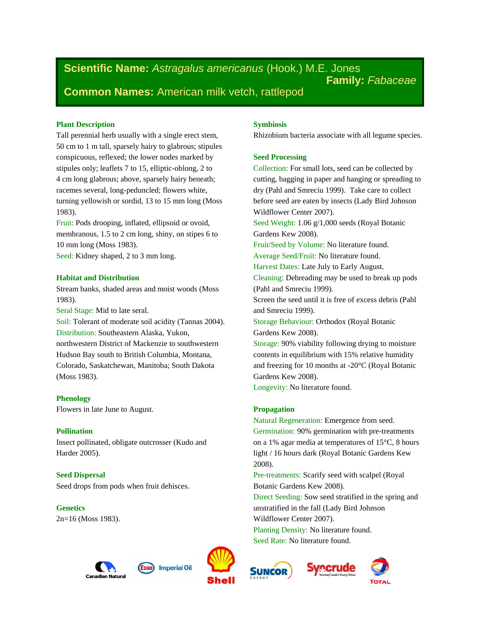**Scientific Name:** *Astragalus americanus* (Hook.) M.E. Jones **Family:** *Fabaceae* **Common Names:** American milk vetch, rattlepod

# **Plant Description**

Tall perennial herb usually with a single erect stem, 50 cm to 1 m tall, sparsely hairy to glabrous; stipules conspicuous, reflexed; the lower nodes marked by stipules only; leaflets 7 to 15, elliptic-oblong, 2 to 4 cm long glabrous; above, sparsely hairy beneath; racemes several, long-peduncled; flowers white, turning yellowish or sordid, 13 to 15 mm long (Moss 1983).

Fruit: Pods drooping, inflated, ellipsoid or ovoid, membranous, 1.5 to 2 cm long, shiny, on stipes 6 to 10 mm long (Moss 1983). Seed: Kidney shaped, 2 to 3 mm long.

## **Habitat and Distribution**

Stream banks, shaded areas and moist woods (Moss 1983).

Seral Stage: Mid to late seral.

Soil: Tolerant of moderate soil acidity (Tannas 2004). Distribution: Southeastern Alaska, Yukon, northwestern District of Mackenzie to southwestern Hudson Bay south to British Columbia, Montana, Colorado, Saskatchewan, Manitoba; South Dakota (Moss 1983).

# **Phenology**

Flowers in late June to August.

## **Pollination**

Insect pollinated, obligate outcrosser (Kudo and Harder 2005).

**Seed Dispersal** Seed drops from pods when fruit dehisces.

**Genetics** 2n=16 (Moss 1983).





## **Symbiosis**

Rhizobium bacteria associate with all legume species.

# **Seed Processing**

Collection: For small lots, seed can be collected by cutting, bagging in paper and hanging or spreading to dry (Pahl and Smreciu 1999). Take care to collect before seed are eaten by insects (Lady Bird Johnson Wildflower Center 2007). Seed Weight: 1.06 g/1,000 seeds (Royal Botanic Gardens Kew 2008). Fruit/Seed by Volume: No literature found. Average Seed/Fruit: No literature found. Harvest Dates: Late July to Early August. Cleaning: Debreading may be used to break up pods (Pahl and Smreciu 1999). Screen the seed until it is free of excess debris (Pahl and Smreciu 1999). Storage Behaviour: Orthodox (Royal Botanic Gardens Kew 2008). Storage: 90% viability following drying to moisture contents in equilibrium with 15% relative humidity and freezing for 10 months at -20°C (Royal Botanic Gardens Kew 2008). Longevity: No literature found.

## **Propagation**

Natural Regeneration: Emergence from seed. Germination: 90% germination with pre-treatments on a 1% agar media at temperatures of 15°C, 8 hours light / 16 hours dark (Royal Botanic Gardens Kew 2008).

Pre-treatments: Scarify seed with scalpel (Royal Botanic Gardens Kew 2008).

Direct Seeding: Sow seed stratified in the spring and unstratified in the fall (Lady Bird Johnson Wildflower Center 2007).

rerude

Planting Density: No literature found. Seed Rate: No literature found.



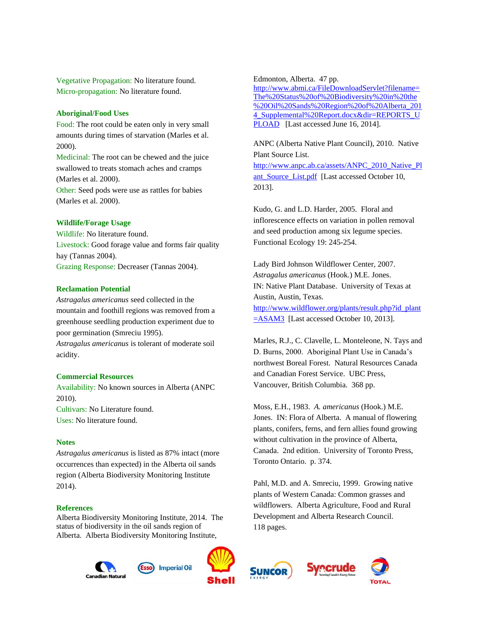Vegetative Propagation: No literature found. Micro-propagation: No literature found.

#### **Aboriginal/Food Uses**

Food: The root could be eaten only in very small amounts during times of starvation (Marles et al. 2000).

Medicinal: The root can be chewed and the juice swallowed to treats stomach aches and cramps (Marles et al. 2000). Other: Seed pods were use as rattles for babies (Marles et al. 2000).

#### **Wildlife/Forage Usage**

Wildlife: No literature found. Livestock: Good forage value and forms fair quality hay (Tannas 2004). Grazing Response: Decreaser (Tannas 2004).

# **Reclamation Potential**

*Astragalus americanus* seed collected in the mountain and foothill regions was removed from a greenhouse seedling production experiment due to poor germination (Smreciu 1995).

*Astragalus americanus* is tolerant of moderate soil acidity.

#### **Commercial Resources**

Availability: No known sources in Alberta (ANPC 2010).

Cultivars: No Literature found. Uses: No literature found.

## **Notes**

*Astragalus americanus* is listed as 87% intact (more occurrences than expected) in the Alberta oil sands region (Alberta Biodiversity Monitoring Institute 2014).

## **References**

Alberta Biodiversity Monitoring Institute, 2014. The status of biodiversity in the oil sands region of Alberta. Alberta Biodiversity Monitoring Institute,

> **Imperial Oil Canadian Natura**



Edmonton, Alberta. 47 pp.

[http://www.abmi.ca/FileDownloadServlet?filename=](http://www.abmi.ca/FileDownloadServlet?filename=The%20Status%20of%20Biodiversity%20in%20the%20Oil%20Sands%20Region%20of%20Alberta_2014_Supplemental%20Report.docx&dir=REPORTS_UPLOAD) [The%20Status%20of%20Biodiversity%20in%20the](http://www.abmi.ca/FileDownloadServlet?filename=The%20Status%20of%20Biodiversity%20in%20the%20Oil%20Sands%20Region%20of%20Alberta_2014_Supplemental%20Report.docx&dir=REPORTS_UPLOAD) [%20Oil%20Sands%20Region%20of%20Alberta\\_201](http://www.abmi.ca/FileDownloadServlet?filename=The%20Status%20of%20Biodiversity%20in%20the%20Oil%20Sands%20Region%20of%20Alberta_2014_Supplemental%20Report.docx&dir=REPORTS_UPLOAD) 4 Supplemental%20Report.docx&dir=REPORTS\_U [PLOAD](http://www.abmi.ca/FileDownloadServlet?filename=The%20Status%20of%20Biodiversity%20in%20the%20Oil%20Sands%20Region%20of%20Alberta_2014_Supplemental%20Report.docx&dir=REPORTS_UPLOAD) [Last accessed June 16, 2014].

ANPC (Alberta Native Plant Council), 2010. Native Plant Source List.

[http://www.anpc.ab.ca/assets/ANPC\\_2010\\_Native\\_Pl](http://www.anpc.ab.ca/assets/ANPC_2010_Native_Plant_Source_List.pdf) ant Source List.pdf [Last accessed October 10, 2013].

Kudo, G. and L.D. Harder, 2005. Floral and inflorescence effects on variation in pollen removal and seed production among six legume species. Functional Ecology 19: 245-254.

Lady Bird Johnson Wildflower Center, 2007. *Astragalus americanus* (Hook.) M.E. Jones. IN: Native Plant Database. University of Texas at Austin, Austin, Texas. [http://www.wildflower.org/plants/result.php?id\\_plant](http://www.wildflower.org/plants/result.php?id_plant=ASAM3) [=ASAM3](http://www.wildflower.org/plants/result.php?id_plant=ASAM3) [Last accessed October 10, 2013].

Marles, R.J., C. Clavelle, L. Monteleone, N. Tays and D. Burns, 2000. Aboriginal Plant Use in Canada's northwest Boreal Forest. Natural Resources Canada and Canadian Forest Service. UBC Press, Vancouver, British Columbia. 368 pp.

Moss, E.H., 1983. *A. americanus* (Hook.) M.E. Jones. IN: Flora of Alberta. A manual of flowering plants, conifers, ferns, and fern allies found growing without cultivation in the province of Alberta, Canada. 2nd edition. University of Toronto Press, Toronto Ontario. p. 374.

Pahl, M.D. and A. Smreciu, 1999. Growing native plants of Western Canada: Common grasses and wildflowers. Alberta Agriculture, Food and Rural Development and Alberta Research Council. 118 pages.